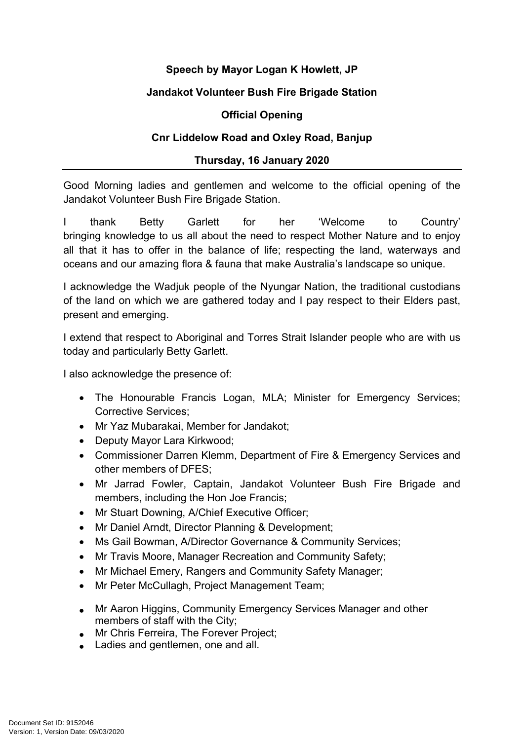# **Speech by Mayor Logan K Howlett, JP**

## **Jandakot Volunteer Bush Fire Brigade Station**

## **Official Opening**

## **Cnr Liddelow Road and Oxley Road, Banjup**

#### **Thursday, 16 January 2020**

Good Morning ladies and gentlemen and welcome to the official opening of the Jandakot Volunteer Bush Fire Brigade Station.

I thank Betty Garlett for her 'Welcome to Country' bringing knowledge to us all about the need to respect Mother Nature and to enjoy all that it has to offer in the balance of life; respecting the land, waterways and oceans and our amazing flora & fauna that make Australia's landscape so unique.

I acknowledge the Wadjuk people of the Nyungar Nation, the traditional custodians of the land on which we are gathered today and I pay respect to their Elders past, present and emerging.

I extend that respect to Aboriginal and Torres Strait Islander people who are with us today and particularly Betty Garlett.

I also acknowledge the presence of:

- The Honourable Francis Logan, MLA; Minister for Emergency Services; Corrective Services;
- Mr Yaz Mubarakai, Member for Jandakot;
- Deputy Mayor Lara Kirkwood:
- Commissioner Darren Klemm, Department of Fire & Emergency Services and other members of DFES;
- Mr Jarrad Fowler, Captain, Jandakot Volunteer Bush Fire Brigade and members, including the Hon Joe Francis;
- Mr Stuart Downing, A/Chief Executive Officer;
- Mr Daniel Arndt, Director Planning & Development;
- Ms Gail Bowman, A/Director Governance & Community Services;
- Mr Travis Moore, Manager Recreation and Community Safety;
- Mr Michael Emery, Rangers and Community Safety Manager;
- Mr Peter McCullagh, Project Management Team;
- Mr Aaron Higgins, Community Emergency Services Manager and other members of staff with the City;
- Mr Chris Ferreira, The Forever Project;
- Ladies and gentlemen, one and all.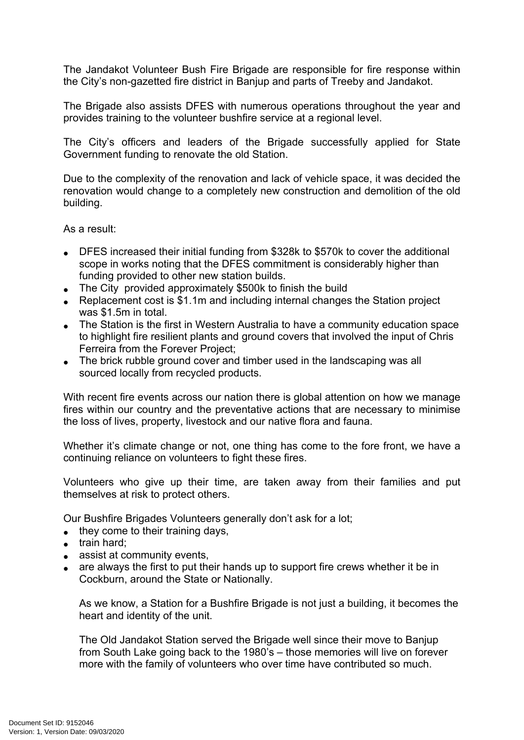The Jandakot Volunteer Bush Fire Brigade are responsible for fire response within the City's non-gazetted fire district in Banjup and parts of Treeby and Jandakot.

The Brigade also assists DFES with numerous operations throughout the year and provides training to the volunteer bushfire service at a regional level.

The City's officers and leaders of the Brigade successfully applied for State Government funding to renovate the old Station.

Due to the complexity of the renovation and lack of vehicle space, it was decided the renovation would change to a completely new construction and demolition of the old building.

As a result:

- DFES increased their initial funding from \$328k to \$570k to cover the additional scope in works noting that the DFES commitment is considerably higher than funding provided to other new station builds.
- The City provided approximately \$500k to finish the build
- Replacement cost is \$1.1m and including internal changes the Station project was \$1.5m in total.
- The Station is the first in Western Australia to have a community education space to highlight fire resilient plants and ground covers that involved the input of Chris Ferreira from the Forever Project;
- The brick rubble ground cover and timber used in the landscaping was all sourced locally from recycled products.

With recent fire events across our nation there is global attention on how we manage fires within our country and the preventative actions that are necessary to minimise the loss of lives, property, livestock and our native flora and fauna.

Whether it's climate change or not, one thing has come to the fore front, we have a continuing reliance on volunteers to fight these fires.

Volunteers who give up their time, are taken away from their families and put themselves at risk to protect others.

Our Bushfire Brigades Volunteers generally don't ask for a lot;

- $\bullet$  they come to their training days,
- $\bullet$  train hard;
- assist at community events,
- are always the first to put their hands up to support fire crews whether it be in Cockburn, around the State or Nationally.

As we know, a Station for a Bushfire Brigade is not just a building, it becomes the heart and identity of the unit.

The Old Jandakot Station served the Brigade well since their move to Banjup from South Lake going back to the 1980's – those memories will live on forever more with the family of volunteers who over time have contributed so much.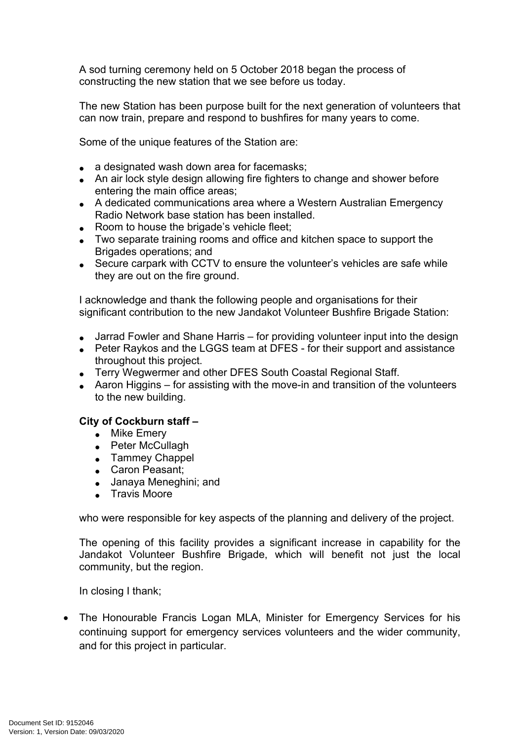A sod turning ceremony held on 5 October 2018 began the process of constructing the new station that we see before us today.

The new Station has been purpose built for the next generation of volunteers that can now train, prepare and respond to bushfires for many years to come.

Some of the unique features of the Station are:

- a designated wash down area for facemasks;
- An air lock style design allowing fire fighters to change and shower before entering the main office areas;
- A dedicated communications area where a Western Australian Emergency Radio Network base station has been installed.
- Room to house the brigade's vehicle fleet:
- Two separate training rooms and office and kitchen space to support the Brigades operations; and
- Secure carpark with CCTV to ensure the volunteer's vehicles are safe while they are out on the fire ground.

I acknowledge and thank the following people and organisations for their significant contribution to the new Jandakot Volunteer Bushfire Brigade Station:

- Jarrad Fowler and Shane Harris for providing volunteer input into the design
- Peter Raykos and the LGGS team at DFES for their support and assistance throughout this project.
- Terry Wegwermer and other DFES South Coastal Regional Staff.
- Aaron Higgins for assisting with the move-in and transition of the volunteers to the new building.

#### **City of Cockburn staff –**

- Mike Emery
- Peter McCullagh
- Tammey Chappel
- Caron Peasant;
- Janaya Meneghini; and
- **Travis Moore**

who were responsible for key aspects of the planning and delivery of the project.

The opening of this facility provides a significant increase in capability for the Jandakot Volunteer Bushfire Brigade, which will benefit not just the local community, but the region.

In closing I thank;

• The Honourable Francis Logan MLA, Minister for Emergency Services for his continuing support for emergency services volunteers and the wider community, and for this project in particular.